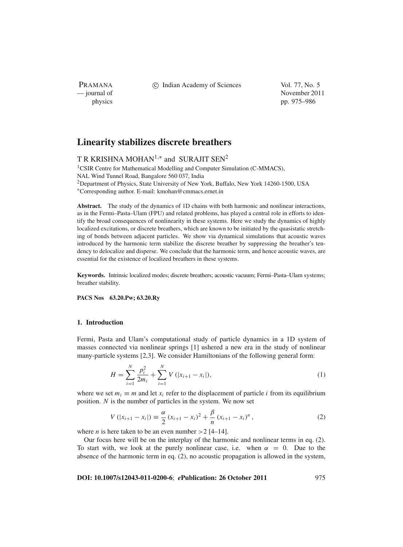PRAMANA

c Indian Academy of Sciences Vol. 77, No. 5

— journal of November 2011 physics pp. 975–986

# **Linearity stabilizes discrete breathers**

# T R KRISHNA MOHAN<sup>1,\*</sup> and SURAJIT SEN<sup>2</sup>

<sup>1</sup>CSIR Centre for Mathematical Modelling and Computer Simulation (C-MMACS), NAL Wind Tunnel Road, Bangalore 560 037, India <sup>2</sup>Department of Physics, State University of New York, Buffalo, New York 14260-1500, USA <sup>∗</sup>Corresponding author. E-mail: kmohan@cmmacs.ernet.in

**Abstract.** The study of the dynamics of 1D chains with both harmonic and nonlinear interactions, as in the Fermi–Pasta–Ulam (FPU) and related problems, has played a central role in efforts to identify the broad consequences of nonlinearity in these systems. Here we study the dynamics of highly localized excitations, or discrete breathers, which are known to be initiated by the quasistatic stretching of bonds between adjacent particles. We show via dynamical simulations that acoustic waves introduced by the harmonic term stabilize the discrete breather by suppressing the breather's tendency to delocalize and disperse. We conclude that the harmonic term, and hence acoustic waves, are essential for the existence of localized breathers in these systems.

**Keywords.** Intrinsic localized modes; discrete breathers; acoustic vacuum; Fermi–Pasta–Ulam systems; breather stability.

**PACS Nos 63.20.Pw; 63.20.Ry**

# **1. Introduction**

Fermi, Pasta and Ulam's computational study of particle dynamics in a 1D system of masses connected via nonlinear springs [1] ushered a new era in the study of nonlinear many-particle systems [2,3]. We consider Hamiltonians of the following general form:

$$
H = \sum_{i=1}^{N} \frac{p_i^2}{2m_i} + \sum_{i=1}^{N} V(|x_{i+1} - x_i|),
$$
 (1)

where we set  $m_i \equiv m$  and let  $x_i$  refer to the displacement of particle *i* from its equilibrium position. *N* is the number of particles in the system. We now set

$$
V(|x_{i+1}-x_i|) \equiv \frac{\alpha}{2} (x_{i+1}-x_i)^2 + \frac{\beta}{n} (x_{i+1}-x_i)^n,
$$
 (2)

where *n* is here taken to be an even number  $>2$  [4–14].

Our focus here will be on the interplay of the harmonic and nonlinear terms in eq. (2). To start with, we look at the purely nonlinear case, i.e. when  $\alpha = 0$ . Due to the absence of the harmonic term in eq. (2), no acoustic propagation is allowed in the system,

**DOI: 10.1007/s12043-011-0200-6**; *e***Publication: 26 October 2011** 975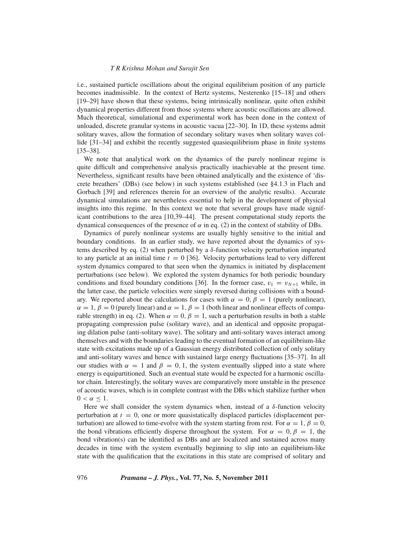i.e., sustained particle oscillations about the original equilibrium position of any particle becomes inadmissible. In the context of Hertz systems, Nesterenko [15–18] and others [19–29] have shown that these systems, being intrinsically nonlinear, quite often exhibit dynamical properties different from those systems where acoustic oscillations are allowed. Much theoretical, simulational and experimental work has been done in the context of unloaded, discrete granular systems in acoustic vacua [22–30]. In 1D, these systems admit solitary waves, allow the formation of secondary solitary waves when solitary waves collide [31–34] and exhibit the recently suggested quasiequilibrium phase in finite systems [35–38].

We note that analytical work on the dynamics of the purely nonlinear regime is quite difficult and comprehensive analysis practically inachievable at the present time. Nevertheless, significant results have been obtained analytically and the existence of 'discrete breathers' (DBs) (see below) in such systems established (see §4.1.3 in Flach and Gorbach [39] and references therein for an overview of the analytic results). Accurate dynamical simulations are nevertheless essential to help in the development of physical insights into this regime. In this context we note that several groups have made significant contributions to the area [10,39–44]. The present computational study reports the dynamical consequences of the presence of  $\alpha$  in eq. (2) in the context of stability of DBs.

Dynamics of purely nonlinear systems are usually highly sensitive to the initial and boundary conditions. In an earlier study, we have reported about the dynamics of systems described by eq. (2) when perturbed by a  $\delta$ -function velocity perturbation imparted to any particle at an initial time  $t = 0$  [36]. Velocity perturbations lead to very different system dynamics compared to that seen when the dynamics is initiated by displacement perturbations (see below). We explored the system dynamics for both periodic boundary conditions and fixed boundary conditions [36]. In the former case,  $v_1 = v_{N+1}$  while, in the latter case, the particle velocities were simply reversed during collisions with a boundary. We reported about the calculations for cases with  $\alpha = 0, \beta = 1$  (purely nonlinear),  $\alpha = 1, \beta = 0$  (purely linear) and  $\alpha = 1, \beta = 1$  (both linear and nonlinear effects of comparable strength) in eq. (2). When  $\alpha = 0$ ,  $\beta = 1$ , such a perturbation results in both a stable propagating compression pulse (solitary wave), and an identical and opposite propagating dilation pulse (anti-solitary wave). The solitary and anti-solitary waves interact among themselves and with the boundaries leading to the eventual formation of an equilibrium-like state with excitations made up of a Gaussian energy distributed collection of only solitary and anti-solitary waves and hence with sustained large energy fluctuations [35–37]. In all our studies with  $\alpha = 1$  and  $\beta = 0, 1$ , the system eventually slipped into a state where energy is equipartitioned. Such an eventual state would be expected for a harmonic oscillator chain. Interestingly, the solitary waves are comparatively more unstable in the presence of acoustic waves, which is in complete contrast with the DBs which stabilize further when  $0 < \alpha \leq 1$ .

Here we shall consider the system dynamics when, instead of a  $\delta$ -function velocity perturbation at  $t = 0$ , one or more quasistatically displaced particles (displacement perturbation) are allowed to time-evolve with the system starting from rest. For  $\alpha = 1, \beta = 0$ , the bond vibrations efficiently disperse throughout the system. For  $\alpha = 0, \beta = 1$ , the bond vibration(s) can be identified as DBs and are localized and sustained across many decades in time with the system eventually beginning to slip into an equilibrium-like state with the qualification that the excitations in this state are comprised of solitary and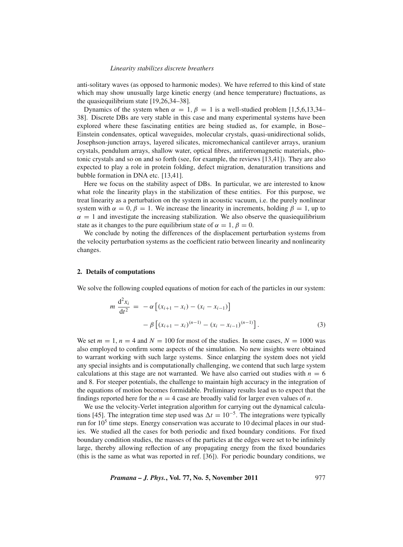anti-solitary waves (as opposed to harmonic modes). We have referred to this kind of state which may show unusually large kinetic energy (and hence temperature) fluctuations, as the quasiequilibrium state [19,26,34–38].

Dynamics of the system when  $\alpha = 1, \beta = 1$  is a well-studied problem [1,5,6,13,34– 38]. Discrete DBs are very stable in this case and many experimental systems have been explored where these fascinating entities are being studied as, for example, in Bose– Einstein condensates, optical waveguides, molecular crystals, quasi-unidirectional solids, Josephson-junction arrays, layered silicates, micromechanical cantilever arrays, uranium crystals, pendulum arrays, shallow water, optical fibres, antiferromagnetic materials, photonic crystals and so on and so forth (see, for example, the reviews [13,41]). They are also expected to play a role in protein folding, defect migration, denaturation transitions and bubble formation in DNA etc. [13,41].

Here we focus on the stability aspect of DBs. In particular, we are interested to know what role the linearity plays in the stabilization of these entities. For this purpose, we treat linearity as a perturbation on the system in acoustic vacuum, i.e. the purely nonlinear system with  $\alpha = 0, \beta = 1$ . We increase the linearity in increments, holding  $\beta = 1$ , up to  $\alpha = 1$  and investigate the increasing stabilization. We also observe the quasiequilibrium state as it changes to the pure equilibrium state of  $\alpha = 1, \beta = 0$ .

We conclude by noting the differences of the displacement perturbation systems from the velocity perturbation systems as the coefficient ratio between linearity and nonlinearity changes.

# **2. Details of computations**

We solve the following coupled equations of motion for each of the particles in our system:

$$
m \frac{d^2 x_i}{dt^2} = -\alpha \left[ (x_{i+1} - x_i) - (x_i - x_{i-1}) \right]
$$

$$
- \beta \left[ (x_{i+1} - x_i)^{(n-1)} - (x_i - x_{i-1})^{(n-1)} \right].
$$
 (3)

We set  $m = 1$ ,  $n = 4$  and  $N = 100$  for most of the studies. In some cases,  $N = 1000$  was also employed to confirm some aspects of the simulation. No new insights were obtained to warrant working with such large systems. Since enlarging the system does not yield any special insights and is computationally challenging, we contend that such large system calculations at this stage are not warranted. We have also carried out studies with  $n = 6$ and 8. For steeper potentials, the challenge to maintain high accuracy in the integration of the equations of motion becomes formidable. Preliminary results lead us to expect that the findings reported here for the  $n = 4$  case are broadly valid for larger even values of *n*.

We use the velocity-Verlet integration algorithm for carrying out the dynamical calculations [45]. The integration time step used was  $\Delta t = 10^{-5}$ . The integrations were typically run for  $10<sup>5</sup>$  time steps. Energy conservation was accurate to 10 decimal places in our studies. We studied all the cases for both periodic and fixed boundary conditions. For fixed boundary condition studies, the masses of the particles at the edges were set to be infinitely large, thereby allowing reflection of any propagating energy from the fixed boundaries (this is the same as what was reported in ref. [36]). For periodic boundary conditions, we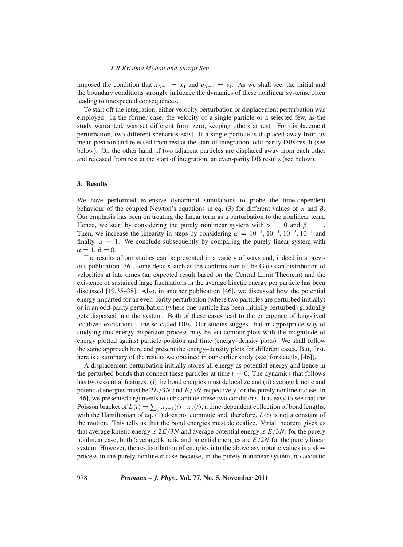imposed the condition that  $x_{N+1} = x_1$  and  $v_{N+1} = v_1$ . As we shall see, the initial and the boundary conditions strongly influence the dynamics of these nonlinear systems, often leading to unexpected consequences.

To start off the integration, either velocity perturbation or displacement perturbation was employed. In the former case, the velocity of a single particle or a selected few, as the study warranted, was set different from zero, keeping others at rest. For displacement perturbation, two different scenarios exist. If a single particle is displaced away from its mean position and released from rest at the start of integration, odd-parity DBs result (see below). On the other hand, if two adjacent particles are displaced away from each other and released from rest at the start of integration, an even-parity DB results (see below).

#### **3. Results**

We have performed extensive dynamical simulations to probe the time-dependent behaviour of the coupled Newton's equations in eq. (3) for different values of  $\alpha$  and  $\beta$ . Our emphasis has been on treating the linear term as a perturbation to the nonlinear term. Hence, we start by considering the purely nonlinear system with  $\alpha = 0$  and  $\beta = 1$ . Then, we increase the linearity in steps by considering  $\alpha = 10^{-4}$ ,  $10^{-3}$ ,  $10^{-2}$ ,  $10^{-1}$  and finally,  $\alpha = 1$ . We conclude subsequently by comparing the purely linear system with  $\alpha = 1, \beta = 0.$ 

The results of our studies can be presented in a variety of ways and, indeed in a previous publication [36], some details such as the confirmation of the Gaussian distribution of velocities at late times (an expected result based on the Central Limit Theorem) and the existence of sustained large fluctuations in the average kinetic energy per particle has been discussed [19,35–38]. Also, in another publication [46], we discussed how the potential energy imparted for an even-parity perturbation (where two particles are perturbed initially) or in an odd-parity perturbation (where one particle has been initially perturbed) gradually gets dispersed into the system. Both of these cases lead to the emergence of long-lived localized excitations – the so-called DBs. Our studies suggest that an appropriate way of studying this energy dispersion process may be via contour plots with the magnitude of energy plotted against particle position and time (energy–density plots). We shall follow the same approach here and present the energy–density plots for different cases. But, first, here is a summary of the results we obtained in our earlier study (see, for details, [46]).

A displacement perturbation initially stores all energy as potential energy and hence in the perturbed bonds that connect these particles at time  $t = 0$ . The dynamics that follows has two essential features: (i) the bond energies must delocalize and (ii) average kinetic and potential energies must be 2*E*/3*N* and *E*/3*N* respectively for the purely nonlinear case. In [46], we presented arguments to substantiate these two conditions. It is easy to see that the Poisson bracket of  $L(t) = \sum_j x_{j+1}(t) - x_j(t)$ , a time-dependent collection of bond lengths, with the Hamiltonian of eq.  $(1)$  does not commute and, therefore,  $L(t)$  is not a constant of the motion. This tells us that the bond energies must delocalize. Virial theorem gives us that average kinetic energy is  $2E/3N$  and average potential energy is  $E/3N$ , for the purely nonlinear case; both (average) kinetic and potential energies are *E*/2*N* for the purely linear system. However, the re-distribution of energies into the above asymptotic values is a slow process in the purely nonlinear case because, in the purely nonlinear system, no acoustic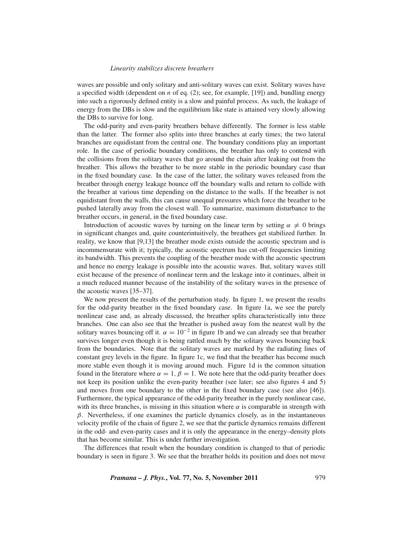waves are possible and only solitary and anti-solitary waves can exist. Solitary waves have a specified width (dependent on *n* of eq. (2); see, for example, [19]) and, bundling energy into such a rigorously defined entity is a slow and painful process. As such, the leakage of energy from the DBs is slow and the equilibrium like state is attained very slowly allowing the DBs to survive for long.

The odd-parity and even-parity breathers behave differently. The former is less stable than the latter. The former also splits into three branches at early times; the two lateral branches are equidistant from the central one. The boundary conditions play an important role. In the case of periodic boundary conditions, the breather has only to contend with the collisions from the solitary waves that go around the chain after leaking out from the breather. This allows the breather to be more stable in the periodic boundary case than in the fixed boundary case. In the case of the latter, the solitary waves released from the breather through energy leakage bounce off the boundary walls and return to collide with the breather at various time depending on the distance to the walls. If the breather is not equidistant from the walls, this can cause unequal pressures which force the breather to be pushed laterally away from the closest wall. To summarize, maximum disturbance to the breather occurs, in general, in the fixed boundary case.

Introduction of acoustic waves by turning on the linear term by setting  $\alpha \neq 0$  brings in significant changes and, quite counterintuitively, the breathers get stabilized further. In reality, we know that [9,13] the breather mode exists outside the acoustic spectrum and is incommensurate with it; typically, the acoustic spectrum has cut-off frequencies limiting its bandwidth. This prevents the coupling of the breather mode with the acoustic spectrum and hence no energy leakage is possible into the acoustic waves. But, solitary waves still exist because of the presence of nonlinear term and the leakage into it continues, albeit in a much reduced manner because of the instability of the solitary waves in the presence of the acoustic waves [35–37].

We now present the results of the perturbation study. In figure 1, we present the results for the odd-parity breather in the fixed boundary case. In figure 1a, we see the purely nonlinear case and, as already discussed, the breather splits characteristically into three branches. One can also see that the breather is pushed away fom the nearest wall by the solitary waves bouncing off it.  $\alpha = 10^{-2}$  in figure 1b and we can already see that breather survives longer even though it is being rattled much by the solitary waves bouncing back from the boundaries. Note that the solitary waves are marked by the radiating lines of constant grey levels in the figure. In figure 1c, we find that the breather has become much more stable even though it is moving around much. Figure 1d is the common situation found in the literature where  $\alpha = 1$ ,  $\beta = 1$ . We note here that the odd-parity breather does not keep its position unlike the even-parity breather (see later; see also figures 4 and 5) and moves from one boundary to the other in the fixed boundary case (see also [46]). Furthermore, the typical appearance of the odd-parity breather in the purely nonlinear case, with its three branches, is missing in this situation where  $\alpha$  is comparable in strength with  $\beta$ . Nevertheless, if one examines the particle dynamics closely, as in the instantaneous velocity profile of the chain of figure 2, we see that the particle dynamics remains different in the odd- and even-parity cases and it is only the appearance in the energy–density plots that has become similar. This is under further investigation.

The differences that result when the boundary condition is changed to that of periodic boundary is seen in figure 3. We see that the breather holds its position and does not move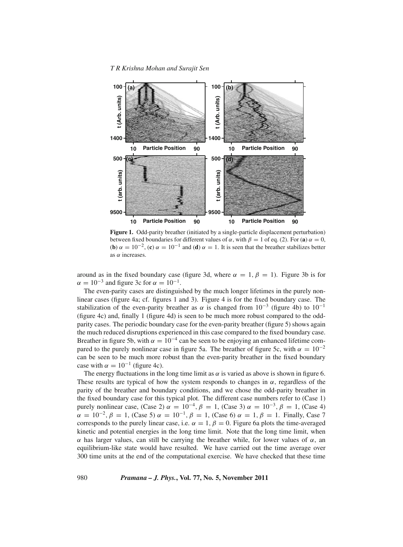*T R Krishna Mohan and Surajit Sen*



**Figure 1.** Odd-parity breather (initiated by a single-particle displacement perturbation) between fixed boundaries for different values of  $\alpha$ , with  $\beta = 1$  of eq. (2). For (**a**)  $\alpha = 0$ , (**b**)  $\alpha = 10^{-2}$ , (**c**)  $\alpha = 10^{-1}$  and (**d**)  $\alpha = 1$ . It is seen that the breather stabilizes better as  $\alpha$  increases.

around as in the fixed boundary case (figure 3d, where  $\alpha = 1, \beta = 1$ ). Figure 3b is for  $\alpha = 10^{-3}$  and figure 3c for  $\alpha = 10^{-1}$ .

The even-parity cases are distinguished by the much longer lifetimes in the purely nonlinear cases (figure 4a; cf. figures 1 and 3). Figure 4 is for the fixed boundary case. The stabilization of the even-parity breather as  $\alpha$  is changed from 10<sup>-3</sup> (figure 4b) to 10<sup>-1</sup> (figure 4c) and, finally 1 (figure 4d) is seen to be much more robust compared to the oddparity cases. The periodic boundary case for the even-parity breather (figure 5) shows again the much reduced disruptions experienced in this case compared to the fixed boundary case. Breather in figure 5b, with  $\alpha = 10^{-4}$  can be seen to be enjoying an enhanced lifetime compared to the purely nonlinear case in figure 5a. The breather of figure 5c, with  $\alpha = 10^{-2}$ can be seen to be much more robust than the even-parity breather in the fixed boundary case with  $\alpha = 10^{-1}$  (figure 4c).

The energy fluctuations in the long time limit as  $\alpha$  is varied as above is shown in figure 6. These results are typical of how the system responds to changes in  $\alpha$ , regardless of the parity of the breather and boundary conditions, and we chose the odd-parity breather in the fixed boundary case for this typical plot. The different case numbers refer to (Case 1) purely nonlinear case, (Case 2)  $\alpha = 10^{-4}$ ,  $\beta = 1$ , (Case 3)  $\alpha = 10^{-3}$ ,  $\beta = 1$ , (Case 4)  $\alpha = 10^{-2}, \beta = 1$ , (Case 5)  $\alpha = 10^{-1}, \beta = 1$ , (Case 6)  $\alpha = 1, \beta = 1$ . Finally, Case 7 corresponds to the purely linear case, i.e.  $\alpha = 1$ ,  $\beta = 0$ . Figure 6a plots the time-averaged kinetic and potential energies in the long time limit. Note that the long time limit, when α has larger values, can still be carrying the breather while, for lower values of α, an equilibrium-like state would have resulted. We have carried out the time average over 300 time units at the end of the computational exercise. We have checked that these time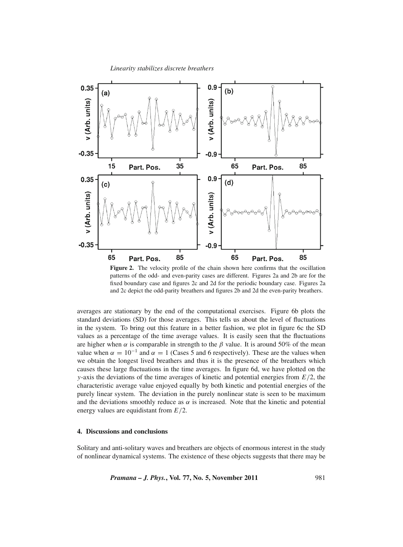

**Figure 2.** The velocity profile of the chain shown here confirms that the oscillation patterns of the odd- and even-parity cases are different. Figures 2a and 2b are for the fixed boundary case and figures 2c and 2d for the periodic boundary case. Figures 2a and 2c depict the odd-parity breathers and figures 2b and 2d the even-parity breathers.

averages are stationary by the end of the computational exercises. Figure 6b plots the standard deviations (SD) for those averages. This tells us about the level of fluctuations in the system. To bring out this feature in a better fashion, we plot in figure 6c the SD values as a percentage of the time average values. It is easily seen that the fluctuations are higher when  $\alpha$  is comparable in strength to the  $\beta$  value. It is around 50% of the mean value when  $\alpha = 10^{-1}$  and  $\alpha = 1$  (Cases 5 and 6 respectively). These are the values when we obtain the longest lived breathers and thus it is the presence of the breathers which causes these large fluctuations in the time averages. In figure 6d, we have plotted on the *y*-axis the deviations of the time averages of kinetic and potential energies from *E*/2, the characteristic average value enjoyed equally by both kinetic and potential energies of the purely linear system. The deviation in the purely nonlinear state is seen to be maximum and the deviations smoothly reduce as  $\alpha$  is increased. Note that the kinetic and potential energy values are equidistant from *E*/2.

# **4. Discussions and conclusions**

Solitary and anti-solitary waves and breathers are objects of enormous interest in the study of nonlinear dynamical systems. The existence of these objects suggests that there may be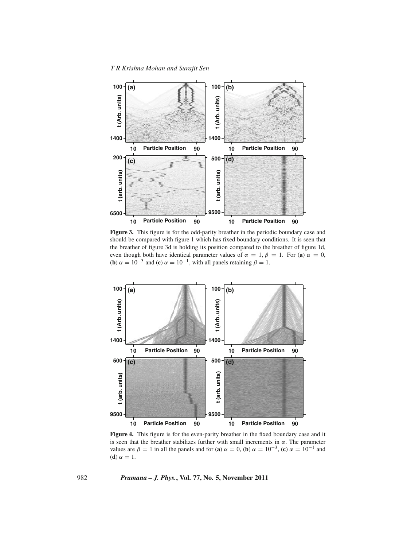*T R Krishna Mohan and Surajit Sen*



**Figure 3.** This figure is for the odd-parity breather in the periodic boundary case and should be compared with figure 1 which has fixed boundary conditions. It is seen that the breather of figure 3d is holding its position compared to the breather of figure 1d, even though both have identical parameter values of  $\alpha = 1, \beta = 1$ . For (**a**)  $\alpha = 0$ , (**b**)  $\alpha = 10^{-3}$  and (**c**)  $\alpha = 10^{-1}$ , with all panels retaining  $\beta = 1$ .



**Figure 4.** This figure is for the even-parity breather in the fixed boundary case and it is seen that the breather stabilizes further with small increments in  $\alpha$ . The parameter values are  $\beta = 1$  in all the panels and for (**a**)  $\alpha = 0$ , (**b**)  $\alpha = 10^{-3}$ , (**c**)  $\alpha = 10^{-1}$  and (**d**)  $\alpha = 1$ .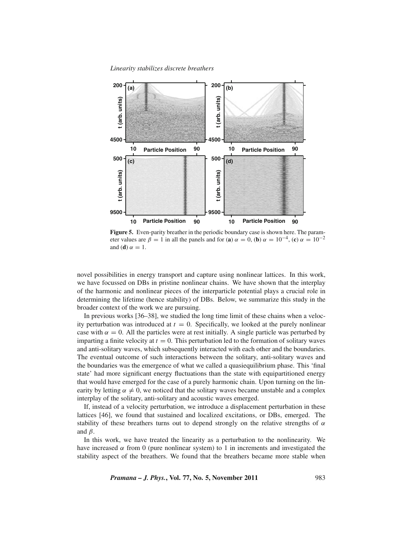*Linearity stabilizes discrete breathers*



**Figure 5.** Even-parity breather in the periodic boundary case is shown here. The parameter values are  $\beta = 1$  in all the panels and for (**a**)  $\alpha = 0$ , (**b**)  $\alpha = 10^{-4}$ , (**c**)  $\alpha = 10^{-2}$ and (**d**)  $\alpha = 1$ .

novel possibilities in energy transport and capture using nonlinear lattices. In this work, we have focussed on DBs in pristine nonlinear chains. We have shown that the interplay of the harmonic and nonlinear pieces of the interparticle potential plays a crucial role in determining the lifetime (hence stability) of DBs. Below, we summarize this study in the broader context of the work we are pursuing.

In previous works [36–38], we studied the long time limit of these chains when a velocity perturbation was introduced at  $t = 0$ . Specifically, we looked at the purely nonlinear case with  $\alpha = 0$ . All the particles were at rest initially. A single particle was perturbed by imparting a finite velocity at  $t = 0$ . This perturbation led to the formation of solitary waves and anti-solitary waves, which subsequently interacted with each other and the boundaries. The eventual outcome of such interactions between the solitary, anti-solitary waves and the boundaries was the emergence of what we called a quasiequilibrium phase. This 'final state' had more significant energy fluctuations than the state with equipartitioned energy that would have emerged for the case of a purely harmonic chain. Upon turning on the linearity by letting  $\alpha \neq 0$ , we noticed that the solitary waves became unstable and a complex interplay of the solitary, anti-solitary and acoustic waves emerged.

If, instead of a velocity perturbation, we introduce a displacement perturbation in these lattices [46], we found that sustained and localized excitations, or DBs, emerged. The stability of these breathers turns out to depend strongly on the relative strengths of  $\alpha$ and  $\beta$ .

In this work, we have treated the linearity as a perturbation to the nonlinearity. We have increased  $\alpha$  from 0 (pure nonlinear system) to 1 in increments and investigated the stability aspect of the breathers. We found that the breathers became more stable when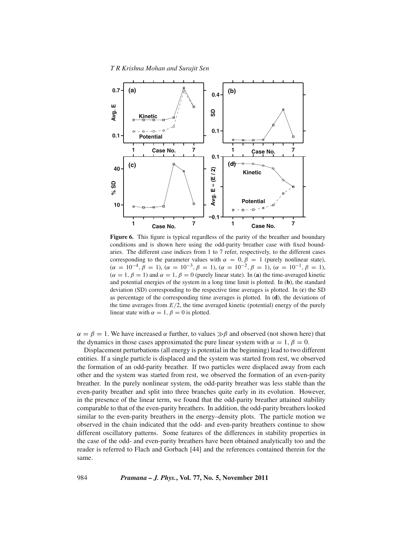

**Figure 6.** This figure is typical regardless of the parity of the breather and boundary conditions and is shown here using the odd-parity breather case with fixed boundaries. The different case indices from 1 to 7 refer, respectively, to the different cases corresponding to the parameter values with  $\alpha = 0, \beta = 1$  (purely nonlinear state),  $(\alpha = 10^{-4}, \beta = 1), (\alpha = 10^{-3}, \beta = 1), (\alpha = 10^{-2}, \beta = 1), (\alpha = 10^{-1}, \beta = 1),$  $(\alpha = 1, \beta = 1)$  and  $\alpha = 1, \beta = 0$  (purely linear state). In (**a**) the time-averaged kinetic and potential energies of the system in a long time limit is plotted. In (**b**), the standard deviation (SD) corresponding to the respective time averages is plotted. In (**c**) the SD as percentage of the corresponding time averages is plotted. In (**d**), the deviations of the time averages from  $E/2$ , the time averaged kinetic (potential) energy of the purely linear state with  $\alpha = 1$ ,  $\beta = 0$  is plotted.

 $\alpha = \beta = 1$ . We have increased  $\alpha$  further, to values  $\gg \beta$  and observed (not shown here) that the dynamics in those cases approximated the pure linear system with  $\alpha = 1, \beta = 0$ .

Displacement perturbations (all energy is potential in the beginning) lead to two different entities. If a single particle is displaced and the system was started from rest, we observed the formation of an odd-parity breather. If two particles were displaced away from each other and the system was started from rest, we observed the formation of an even-parity breather. In the purely nonlinear system, the odd-parity breather was less stable than the even-parity breather and split into three branches quite early in its evolution. However, in the presence of the linear term, we found that the odd-parity breather attained stability comparable to that of the even-parity breathers. In addition, the odd-parity breathers looked similar to the even-parity breathers in the energy–density plots. The particle motion we observed in the chain indicated that the odd- and even-parity breathers continue to show different oscillatory patterns. Some features of the differences in stability properties in the case of the odd- and even-parity breathers have been obtained analytically too and the reader is referred to Flach and Gorbach [44] and the references contained therein for the same.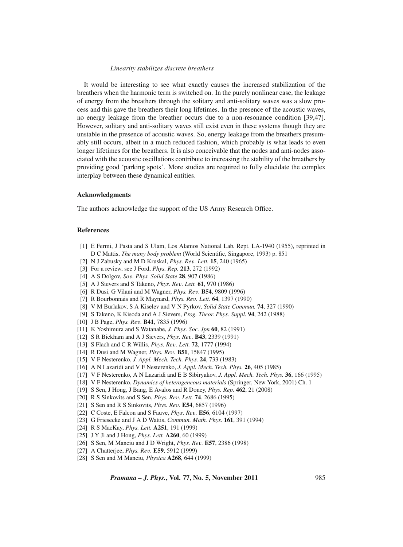It would be interesting to see what exactly causes the increased stabilization of the breathers when the harmonic term is switched on. In the purely nonlinear case, the leakage of energy from the breathers through the solitary and anti-solitary waves was a slow process and this gave the breathers their long lifetimes. In the presence of the acoustic waves, no energy leakage from the breather occurs due to a non-resonance condition [39,47]. However, solitary and anti-solitary waves still exist even in these systems though they are unstable in the presence of acoustic waves. So, energy leakage from the breathers presumably still occurs, albeit in a much reduced fashion, which probably is what leads to even longer lifetimes for the breathers. It is also conceivable that the nodes and anti-nodes associated with the acoustic oscillations contribute to increasing the stability of the breathers by providing good 'parking spots'. More studies are required to fully elucidate the complex interplay between these dynamical entities.

# **Acknowledgments**

The authors acknowledge the support of the US Army Research Office.

# **References**

- [1] E Fermi, J Pasta and S Ulam, Los Alamos National Lab. Rept. LA-1940 (1955), reprinted in D C Mattis, *The many body problem* (World Scientific, Singapore, 1993) p. 851
- [2] N J Zabusky and M D Kruskal, *Phys. Re*v*. Lett.* **15**, 240 (1965)
- [3] For a review, see J Ford, *Phys. Rep.* **213**, 272 (1992)
- [4] A S Dolgov, *So*v*. Phys. Solid State* **28**, 907 (1986)
- [5] A J Sievers and S Takeno, *Phys. Re*v*. Lett.* **61**, 970 (1986)
- [6] R Dusi, G Vilani and M Wagner, *Phys. Re*v*.* **B54**, 9809 (1996)
- [7] R Bourbonnais and R Maynard, *Phys. Re*v*. Lett*. **64**, 1397 (1990)
- [8] V M Burlakov, S A Kiselev and V N Pyrkov, *Solid State Commun.* **74**, 327 (1990)
- [9] S Takeno, K Kisoda and A J Sievers, *Prog. Theor. Phys. Suppl.* **94**, 242 (1988)
- [10] J B Page, *Phys. Re*v*.* **B41**, 7835 (1996)
- [11] K Yoshimura and S Watanabe, *J. Phys. Soc. Jpn* **60**, 82 (1991)
- [12] S R Bickham and A J Sievers, *Phys. Re*v*.* **B43**, 2339 (1991)
- [13] S Flach and C R Willis, *Phys. Re*v*. Lett.* **72**, 1777 (1994)
- [14] R Dusi and M Wagner, *Phys. Re*v*.* **B51**, 15847 (1995)
- [15] V F Nesterenko, *J. Appl. Mech. Tech. Phys.* **24**, 733 (1983)
- [16] A N Lazaridi and V F Nesterenko, *J. Appl. Mech. Tech. Phys.* **26**, 405 (1985)
- [17] V F Nesterenko, A N Lazaridi and E B Sibiryakov, *J. Appl. Mech. Tech. Phys.* **36**, 166 (1995)
- [18] V F Nesterenko, *Dynamics of heterogeneous materials* (Springer, New York, 2001) Ch. 1
- [19] S Sen, J Hong, J Bang, E Avalos and R Doney, *Phys. Rep.* **462**, 21 (2008)
- [20] R S Sinkovits and S Sen, *Phys. Re*v*. Lett.* **74**, 2686 (1995)
- [21] S Sen and R S Sinkovits, *Phys. Re*v*.* **E54**, 6857 (1996)
- [22] C Coste, E Falcon and S Fauve, *Phys. Re*v*.* **E56**, 6104 (1997)
- [23] G Friesecke and J A D Wattis, *Commun. Math. Phys.* **161**, 391 (1994)
- [24] R S MacKay, *Phys. Lett.* **A251**, 191 (1999)
- [25] J Y Ji and J Hong, *Phys. Lett.* **A260**, 60 (1999)
- [26] S Sen, M Manciu and J D Wright, *Phys. Re*v*.* **E57**, 2386 (1998)
- [27] A Chatterjee, *Phys. Re*v*.* **E59**, 5912 (1999)
- [28] S Sen and M Manciu, *Physica* **A268**, 644 (1999)